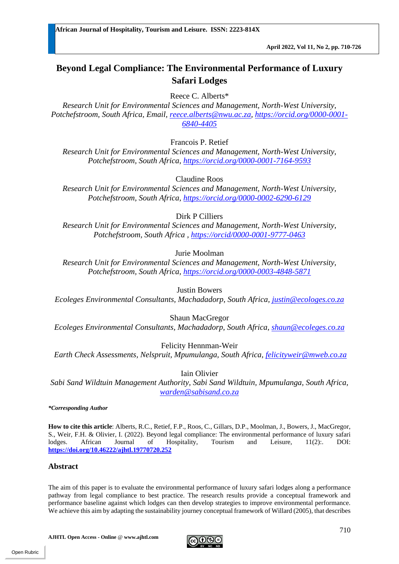# **Beyond Legal Compliance: The Environmental Performance of Luxury Safari Lodges**

Reece C. Alberts\*

*Research Unit for Environmental Sciences and Management, North-West University, Potchefstroom, South Africa, Email, [reece.alberts@nwu.ac.za,](mailto:reece.alberts@nwu.ac.za) [https://orcid.org/0000-0001-](https://orcid.org/0000-0001-6840-4405) [6840-4405](https://orcid.org/0000-0001-6840-4405)* 

Francois P. Retief

*Research Unit for Environmental Sciences and Management, North-West University, Potchefstroom, South Africa, <https://orcid.org/0000-0001-7164-9593>*

Claudine Roos

*Research Unit for Environmental Sciences and Management, North-West University, Potchefstroom, South Africa,<https://orcid.org/0000-0002-6290-6129>*

Dirk P Cilliers

*Research Unit for Environmental Sciences and Management, North-West University, Potchefstroom, South Africa ,<https://orcid/0000-0001-9777-0463>*

Jurie Moolman

*Research Unit for Environmental Sciences and Management, North-West University, Potchefstroom, South Africa,<https://orcid.org/0000-0003-4848-5871>*

Justin Bowers

*Ecoleges Environmental Consultants, Machadadorp, South Africa, [justin@ecologes.co.za](mailto:justin@ecologes.co.za)* 

Shaun MacGregor

*Ecoleges Environmental Consultants, Machadadorp, South Africa, [shaun@ecoleges.co.za](mailto:shaun@ecoleges.co.za)*

Felicity Hennman-Weir

*Earth Check Assessments, Nelspruit, Mpumulanga, South Africa, [felicityweir@mweb.co.za](mailto:felicityweir@mweb.co.za)*

Iain Olivier

*Sabi Sand Wildtuin Management Authority, Sabi Sand Wildtuin, Mpumulanga, South Africa, [warden@sabisand.co.za](mailto:warden@sabisand.co.za)*

*\*Corresponding Author*

**How to cite this article**: Alberts, R.C., Retief, F.P., Roos, C., Gillars, D.P., Moolman, J., Bowers, J., MacGregor, S., Weir, F.H. & Olivier, I. (2022). Beyond legal compliance: The environmental performance of luxury safari lodges. African Journal of Hospitality, Tourism and Leisure, 11(2):. DOI: **<https://doi.org/10.46222/ajhtl.19770720.252>**

#### **Abstract**

The aim of this paper is to evaluate the environmental performance of luxury safari lodges along a performance pathway from legal compliance to best practice. The research results provide a conceptual framework and performance baseline against which lodges can then develop strategies to improve environmental performance. We achieve this aim by adapting the sustainability journey conceptual framework of Willard (2005), that describes

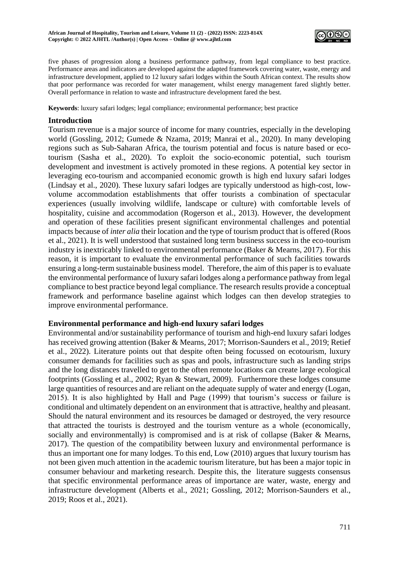

five phases of progression along a business performance pathway, from legal compliance to best practice. Performance areas and indicators are developed against the adapted framework covering water, waste, energy and infrastructure development, applied to 12 luxury safari lodges within the South African context. The results show that poor performance was recorded for water management, whilst energy management fared slightly better. Overall performance in relation to waste and infrastructure development fared the best.

**Keywords**: luxury safari lodges; legal compliance; environmental performance; best practice

#### **Introduction**

Tourism revenue is a major source of income for many countries, especially in the developing world (Gossling, 2012; Gumede & Nzama, 2019; Manrai et al., 2020). In many developing regions such as Sub-Saharan Africa, the tourism potential and focus is nature based or ecotourism (Sasha et al., 2020). To exploit the socio-economic potential, such tourism development and investment is actively promoted in these regions. A potential key sector in leveraging eco-tourism and accompanied economic growth is high end luxury safari lodges (Lindsay et al., 2020). These luxury safari lodges are typically understood as high-cost, lowvolume accommodation establishments that offer tourists a combination of spectacular experiences (usually involving wildlife, landscape or culture) with comfortable levels of hospitality, cuisine and accommodation (Rogerson et al., 2013). However, the development and operation of these facilities present significant environmental challenges and potential impacts because of *inter alia* their location and the type of tourism product that is offered (Roos et al., 2021). It is well understood that sustained long term business success in the eco-tourism industry is inextricably linked to environmental performance (Baker & Mearns, 2017). For this reason, it is important to evaluate the environmental performance of such facilities towards ensuring a long-term sustainable business model. Therefore, the aim of this paper is to evaluate the environmental performance of luxury safari lodges along a performance pathway from legal compliance to best practice beyond legal compliance. The research results provide a conceptual framework and performance baseline against which lodges can then develop strategies to improve environmental performance.

## **Environmental performance and high-end luxury safari lodges**

Environmental and/or sustainability performance of tourism and high-end luxury safari lodges has received growing attention (Baker & Mearns, 2017; Morrison-Saunders et al., 2019; Retief et al., 2022). Literature points out that despite often being focussed on ecotourism, luxury consumer demands for facilities such as spas and pools, infrastructure such as landing strips and the long distances travelled to get to the often remote locations can create large ecological footprints (Gossling et al., 2002; Ryan & Stewart, 2009). Furthermore these lodges consume large quantities of resources and are reliant on the adequate supply of water and energy (Logan, 2015). It is also highlighted by Hall and Page (1999) that tourism's success or failure is conditional and ultimately dependent on an environment that is attractive, healthy and pleasant. Should the natural environment and its resources be damaged or destroyed, the very resource that attracted the tourists is destroyed and the tourism venture as a whole (economically, socially and environmentally) is compromised and is at risk of collapse (Baker & Mearns, 2017). The question of the compatibility between luxury and environmental performance is thus an important one for many lodges. To this end, Low (2010) argues that luxury tourism has not been given much attention in the academic tourism literature, but has been a major topic in consumer behaviour and marketing research. Despite this, the literature suggests consensus that specific environmental performance areas of importance are water, waste, energy and infrastructure development (Alberts et al., 2021; Gossling, 2012; Morrison-Saunders et al., 2019; Roos et al., 2021).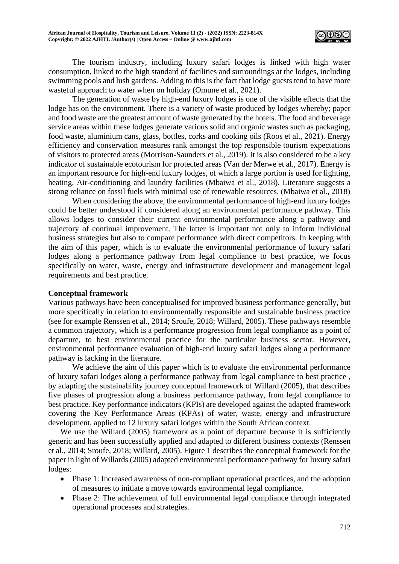

The tourism industry, including luxury safari lodges is linked with high water consumption, linked to the high standard of facilities and surroundings at the lodges, including swimming pools and lush gardens. Adding to this is the fact that lodge guests tend to have more wasteful approach to water when on holiday (Omune et al., 2021).

The generation of waste by high-end luxury lodges is one of the visible effects that the lodge has on the environment. There is a variety of waste produced by lodges whereby; paper and food waste are the greatest amount of waste generated by the hotels. The food and beverage service areas within these lodges generate various solid and organic wastes such as packaging, food waste, aluminium cans, glass, bottles, corks and cooking oils (Roos et al., 2021). Energy efficiency and conservation measures rank amongst the top responsible tourism expectations of visitors to protected areas (Morrison-Saunders et al*.,* 2019). It is also considered to be a key indicator of sustainable ecotourism for protected areas (Van der Merwe et al*.*, 2017). Energy is an important resource for high-end luxury lodges, of which a large portion is used for lighting, heating, Air-conditioning and laundry facilities (Mbaiwa et al., 2018). Literature suggests a strong reliance on fossil fuels with minimal use of renewable resources. (Mbaiwa et al., 2018)

When considering the above, the environmental performance of high-end luxury lodges could be better understood if considered along an environmental performance pathway. This allows lodges to consider their current environmental performance along a pathway and trajectory of continual improvement. The latter is important not only to inform individual business strategies but also to compare performance with direct competitors. In keeping with the aim of this paper, which is to evaluate the environmental performance of luxury safari lodges along a performance pathway from legal compliance to best practice, we focus specifically on water, waste, energy and infrastructure development and management legal requirements and best practice.

## **Conceptual framework**

Various pathways have been conceptualised for improved business performance generally, but more specifically in relation to environmentally responsible and sustainable business practice (see for example Renssen et al., 2014; Sroufe, 2018; Willard, 2005). These pathways resemble a common trajectory, which is a performance progression from legal compliance as a point of departure, to best environmental practice for the particular business sector. However, environmental performance evaluation of high-end luxury safari lodges along a performance pathway is lacking in the literature.

We achieve the aim of this paper which is to evaluate the environmental performance of luxury safari lodges along a performance pathway from legal compliance to best practice , by adapting the sustainability journey conceptual framework of Willard (2005), that describes five phases of progression along a business performance pathway, from legal compliance to best practice. Key performance indicators (KPIs) are developed against the adapted framework covering the Key Performance Areas (KPAs) of water, waste, energy and infrastructure development, applied to 12 luxury safari lodges within the South African context.

We use the Willard (2005) framework as a point of departure because it is sufficiently generic and has been successfully applied and adapted to different business contexts (Renssen et al., 2014; Sroufe, 2018; Willard, 2005). Figure 1 describes the conceptual framework for the paper in light of Willards (2005) adapted environmental performance pathway for luxury safari lodges:

- Phase 1: Increased awareness of non-compliant operational practices, and the adoption of measures to initiate a move towards environmental legal compliance.
- Phase 2: The achievement of full environmental legal compliance through integrated operational processes and strategies.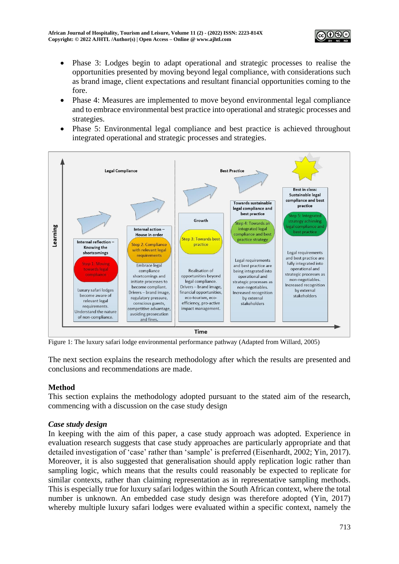

- Phase 3: Lodges begin to adapt operational and strategic processes to realise the opportunities presented by moving beyond legal compliance, with considerations such as brand image, client expectations and resultant financial opportunities coming to the fore.
- Phase 4: Measures are implemented to move beyond environmental legal compliance and to embrace environmental best practice into operational and strategic processes and strategies.
- Phase 5: Environmental legal compliance and best practice is achieved throughout integrated operational and strategic processes and strategies.



Figure 1: The luxury safari lodge environmental performance pathway (Adapted from Willard, 2005)

The next section explains the research methodology after which the results are presented and conclusions and recommendations are made.

## **Method**

This section explains the methodology adopted pursuant to the stated aim of the research, commencing with a discussion on the case study design

## *Case study design*

In keeping with the aim of this paper, a case study approach was adopted. Experience in evaluation research suggests that case study approaches are particularly appropriate and that detailed investigation of 'case' rather than 'sample' is preferred (Eisenhardt, 2002; Yin, 2017). Moreover, it is also suggested that generalisation should apply replication logic rather than sampling logic, which means that the results could reasonably be expected to replicate for similar contexts, rather than claiming representation as in representative sampling methods. This is especially true for luxury safari lodges within the South African context, where the total number is unknown. An embedded case study design was therefore adopted (Yin, 2017) whereby multiple luxury safari lodges were evaluated within a specific context, namely the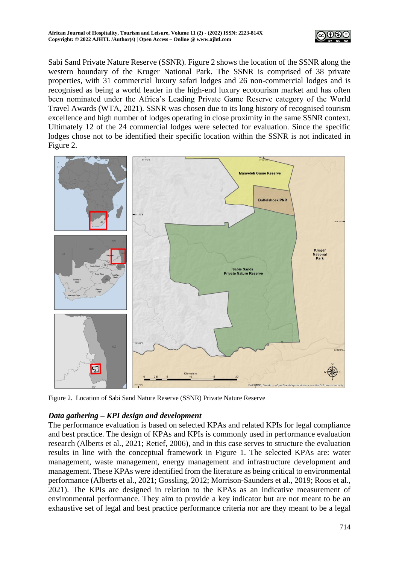

Sabi Sand Private Nature Reserve (SSNR). Figure 2 shows the location of the SSNR along the western boundary of the Kruger National Park. The SSNR is comprised of 38 private properties, with 31 commercial luxury safari lodges and 26 non-commercial lodges and is recognised as being a world leader in the high-end luxury ecotourism market and has often been nominated under the Africa's Leading Private Game Reserve category of the World Travel Awards (WTA, 2021). SSNR was chosen due to its long history of recognised tourism excellence and high number of lodges operating in close proximity in the same SSNR context. Ultimately 12 of the 24 commercial lodges were selected for evaluation. Since the specific lodges chose not to be identified their specific location within the SSNR is not indicated in Figure 2.



Figure 2. Location of Sabi Sand Nature Reserve (SSNR) Private Nature Reserve

## *Data gathering – KPI design and development*

The performance evaluation is based on selected KPAs and related KPIs for legal compliance and best practice. The design of KPAs and KPIs is commonly used in performance evaluation research (Alberts et al., 2021; Retief, 2006), and in this case serves to structure the evaluation results in line with the conceptual framework in Figure 1. The selected KPAs are: water management, waste management, energy management and infrastructure development and management. These KPAs were identified from the literature as being critical to environmental performance (Alberts et al., 2021; Gossling, 2012; Morrison-Saunders et al., 2019; Roos et al., 2021). The KPIs are designed in relation to the KPAs as an indicative measurement of environmental performance. They aim to provide a key indicator but are not meant to be an exhaustive set of legal and best practice performance criteria nor are they meant to be a legal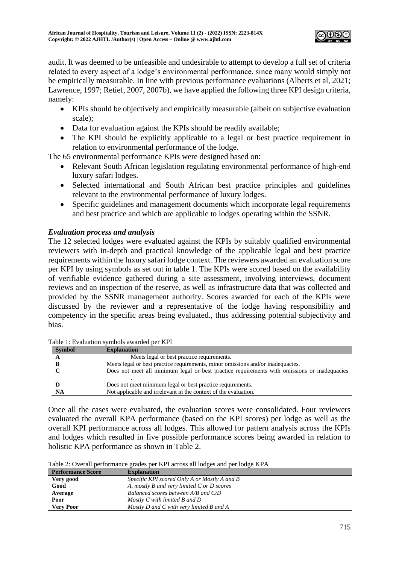

audit. It was deemed to be unfeasible and undesirable to attempt to develop a full set of criteria related to every aspect of a lodge's environmental performance, since many would simply not be empirically measurable. In line with previous performance evaluations (Alberts et al, 2021; Lawrence, 1997; Retief, 2007, 2007b), we have applied the following three KPI design criteria, namely:

- KPIs should be objectively and empirically measurable (albeit on subjective evaluation scale);
- Data for evaluation against the KPIs should be readily available;
- The KPI should be explicitly applicable to a legal or best practice requirement in relation to environmental performance of the lodge.

The 65 environmental performance KPIs were designed based on:

- Relevant South African legislation regulating environmental performance of high-end luxury safari lodges.
- Selected international and South African best practice principles and guidelines relevant to the environmental performance of luxury lodges.
- Specific guidelines and management documents which incorporate legal requirements and best practice and which are applicable to lodges operating within the SSNR.

# *Evaluation process and analysis*

The 12 selected lodges were evaluated against the KPIs by suitably qualified environmental reviewers with in-depth and practical knowledge of the applicable legal and best practice requirements within the luxury safari lodge context. The reviewers awarded an evaluation score per KPI by using symbols as set out in table 1. The KPIs were scored based on the availability of verifiable evidence gathered during a site assessment, involving interviews, document reviews and an inspection of the reserve, as well as infrastructure data that was collected and provided by the SSNR management authority. Scores awarded for each of the KPIs were discussed by the reviewer and a representative of the lodge having responsibility and competency in the specific areas being evaluated., thus addressing potential subjectivity and bias.

| <b>Symbol</b> | <b>Explanation</b>                                                                           |
|---------------|----------------------------------------------------------------------------------------------|
|               | Meets legal or best practice requirements.                                                   |
|               | Meets legal or best practice requirements, minor omissions and/or inadequacies.              |
|               | Does not meet all minimum legal or best practice requirements with omissions or inadequacies |
|               |                                                                                              |
|               | Does not meet minimum legal or best practice requirements.                                   |
| NA            | Not applicable and irrelevant in the context of the evaluation.                              |

Table 1: Evaluation symbols awarded per KPI

Once all the cases were evaluated, the evaluation scores were consolidated. Four reviewers evaluated the overall KPA performance (based on the KPI scores) per lodge as well as the overall KPI performance across all lodges. This allowed for pattern analysis across the KPIs and lodges which resulted in five possible performance scores being awarded in relation to holistic KPA performance as shown in Table 2.

Table 2: Overall performance grades per KPI across all lodges and per lodge KPA

| <b>Performance Score</b> | <b>Explanation</b>                               |
|--------------------------|--------------------------------------------------|
| Very good                | Specific KPI scored Only A or Mostly A and B     |
| Good                     | A, mostly B and very limited $C$ or $D$ scores   |
| Average                  | Balanced scores between A/B and C/D              |
| Poor                     | Mostly C with limited B and D                    |
| <b>Very Poor</b>         | Mostly $D$ and $C$ with very limited $B$ and $A$ |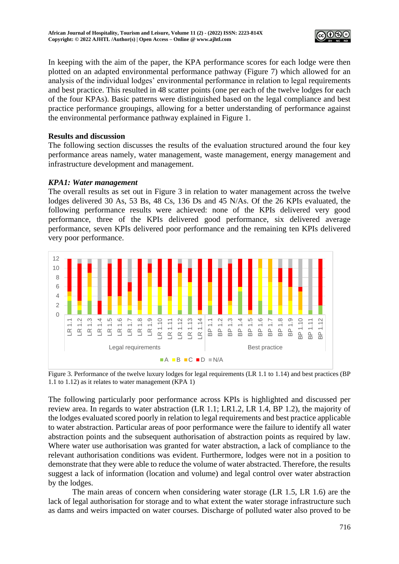

In keeping with the aim of the paper, the KPA performance scores for each lodge were then plotted on an adapted environmental performance pathway (Figure 7) which allowed for an analysis of the individual lodges' environmental performance in relation to legal requirements and best practice. This resulted in 48 scatter points (one per each of the twelve lodges for each of the four KPAs). Basic patterns were distinguished based on the legal compliance and best practice performance groupings, allowing for a better understanding of performance against the environmental performance pathway explained in Figure 1.

## **Results and discussion**

The following section discusses the results of the evaluation structured around the four key performance areas namely, water management, waste management, energy management and infrastructure development and management.

#### *KPA1: Water management*

The overall results as set out in Figure 3 in relation to water management across the twelve lodges delivered 30 As, 53 Bs, 48 Cs, 136 Ds and 45 N/As. Of the 26 KPIs evaluated, the following performance results were achieved: none of the KPIs delivered very good performance, three of the KPIs delivered good performance, six delivered average performance, seven KPIs delivered poor performance and the remaining ten KPIs delivered very poor performance.



Figure 3. Performance of the twelve luxury lodges for legal requirements (LR 1.1 to 1.14) and best practices (BP 1.1 to 1.12) as it relates to water management (KPA 1)

The following particularly poor performance across KPIs is highlighted and discussed per review area. In regards to water abstraction (LR 1.1; LR1.2, LR 1.4, BP 1.2), the majority of the lodges evaluated scored poorly in relation to legal requirements and best practice applicable to water abstraction. Particular areas of poor performance were the failure to identify all water abstraction points and the subsequent authorisation of abstraction points as required by law. Where water use authorisation was granted for water abstraction, a lack of compliance to the relevant authorisation conditions was evident. Furthermore, lodges were not in a position to demonstrate that they were able to reduce the volume of water abstracted. Therefore, the results suggest a lack of information (location and volume) and legal control over water abstraction by the lodges.

The main areas of concern when considering water storage (LR 1.5, LR 1.6) are the lack of legal authorisation for storage and to what extent the water storage infrastructure such as dams and weirs impacted on water courses. Discharge of polluted water also proved to be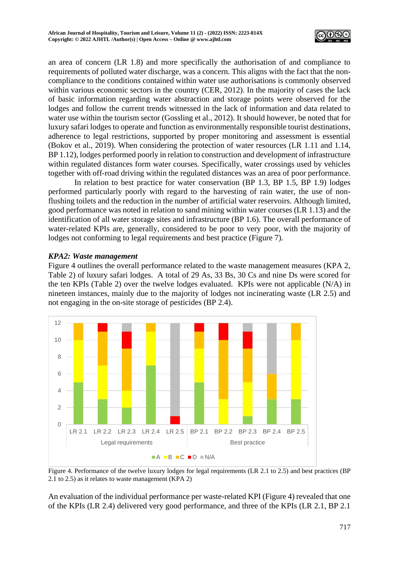

an area of concern (LR 1.8) and more specifically the authorisation of and compliance to requirements of polluted water discharge, was a concern. This aligns with the fact that the noncompliance to the conditions contained within water use authorisations is commonly observed within various economic sectors in the country (CER, 2012). In the majority of cases the lack of basic information regarding water abstraction and storage points were observed for the lodges and follow the current trends witnessed in the lack of information and data related to water use within the tourism sector (Gossling et al., 2012). It should however, be noted that for luxury safari lodges to operate and function as environmentally responsible tourist destinations, adherence to legal restrictions, supported by proper monitoring and assessment is essential (Bokov et al., 2019). When considering the protection of water resources (LR 1.11 and 1.14, BP 1.12), lodges performed poorly in relation to construction and development of infrastructure within regulated distances form water courses. Specifically, water crossings used by vehicles together with off-road driving within the regulated distances was an area of poor performance.

In relation to best practice for water conservation (BP 1.3, BP 1.5, BP 1.9) lodges performed particularly poorly with regard to the harvesting of rain water, the use of nonflushing toilets and the reduction in the number of artificial water reservoirs. Although limited, good performance was noted in relation to sand mining within water courses (LR 1.13) and the identification of all water storage sites and infrastructure (BP 1.6). The overall performance of water-related KPIs are, generally, considered to be poor to very poor, with the majority of lodges not conforming to legal requirements and best practice (Figure 7).

## *KPA2: Waste management*

Figure 4 outlines the overall performance related to the waste management measures (KPA 2, Table 2) of luxury safari lodges. A total of 29 As, 33 Bs, 30 Cs and nine Ds were scored for the ten KPIs (Table 2) over the twelve lodges evaluated. KPIs were not applicable (N/A) in nineteen instances, mainly due to the majority of lodges not incinerating waste (LR 2.5) and not engaging in the on-site storage of pesticides (BP 2.4).



Figure 4. Performance of the twelve luxury lodges for legal requirements (LR 2.1 to 2.5) and best practices (BP 2.1 to 2.5) as it relates to waste management (KPA 2)

An evaluation of the individual performance per waste-related KPI (Figure 4) revealed that one of the KPIs (LR 2.4) delivered very good performance, and three of the KPIs (LR 2.1, BP 2.1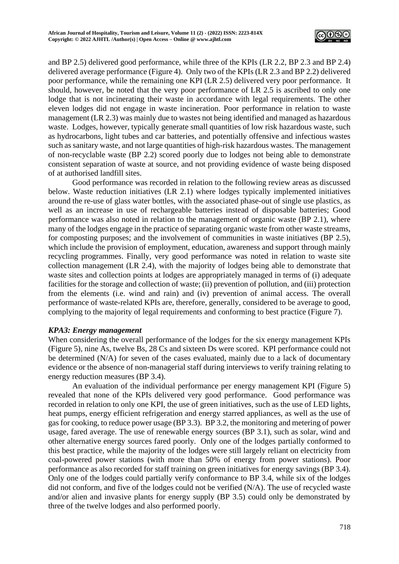

and BP 2.5) delivered good performance, while three of the KPIs (LR 2.2, BP 2.3 and BP 2.4) delivered average performance (Figure 4). Only two of the KPIs (LR 2.3 and BP 2.2) delivered poor performance, while the remaining one KPI (LR 2.5) delivered very poor performance. It should, however, be noted that the very poor performance of LR 2.5 is ascribed to only one lodge that is not incinerating their waste in accordance with legal requirements. The other eleven lodges did not engage in waste incineration. Poor performance in relation to waste management (LR 2.3) was mainly due to wastes not being identified and managed as hazardous waste. Lodges, however, typically generate small quantities of low risk hazardous waste, such as hydrocarbons, light tubes and car batteries, and potentially offensive and infectious wastes such as sanitary waste, and not large quantities of high-risk hazardous wastes. The management of non-recyclable waste (BP 2.2) scored poorly due to lodges not being able to demonstrate consistent separation of waste at source, and not providing evidence of waste being disposed of at authorised landfill sites.

Good performance was recorded in relation to the following review areas as discussed below. Waste reduction initiatives (LR 2.1) where lodges typically implemented initiatives around the re-use of glass water bottles, with the associated phase-out of single use plastics, as well as an increase in use of rechargeable batteries instead of disposable batteries; Good performance was also noted in relation to the management of organic waste (BP 2.1), where many of the lodges engage in the practice of separating organic waste from other waste streams, for composting purposes; and the involvement of communities in waste initiatives (BP 2.5), which include the provision of employment, education, awareness and support through mainly recycling programmes. Finally, very good performance was noted in relation to waste site collection management (LR 2.4), with the majority of lodges being able to demonstrate that waste sites and collection points at lodges are appropriately managed in terms of (i) adequate facilities for the storage and collection of waste; (ii) prevention of pollution, and (iii) protection from the elements (i.e. wind and rain) and (iv) prevention of animal access. The overall performance of waste-related KPIs are, therefore, generally, considered to be average to good, complying to the majority of legal requirements and conforming to best practice (Figure 7).

## *KPA3: Energy management*

When considering the overall performance of the lodges for the six energy management KPIs (Figure 5), nine As, twelve Bs, 28 Cs and sixteen Ds were scored. KPI performance could not be determined (N/A) for seven of the cases evaluated, mainly due to a lack of documentary evidence or the absence of non-managerial staff during interviews to verify training relating to energy reduction measures (BP 3.4).

An evaluation of the individual performance per energy management KPI (Figure 5) revealed that none of the KPIs delivered very good performance. Good performance was recorded in relation to only one KPI, the use of green initiatives, such as the use of LED lights, heat pumps, energy efficient refrigeration and energy starred appliances, as well as the use of gas for cooking, to reduce power usage (BP 3.3). BP 3.2, the monitoring and metering of power usage, fared average. The use of renewable energy sources (BP 3.1), such as solar, wind and other alternative energy sources fared poorly. Only one of the lodges partially conformed to this best practice, while the majority of the lodges were still largely reliant on electricity from coal-powered power stations (with more than 50% of energy from power stations). Poor performance as also recorded for staff training on green initiatives for energy savings (BP 3.4). Only one of the lodges could partially verify conformance to BP 3.4, while six of the lodges did not conform, and five of the lodges could not be verified (N/A). The use of recycled waste and/or alien and invasive plants for energy supply (BP 3.5) could only be demonstrated by three of the twelve lodges and also performed poorly.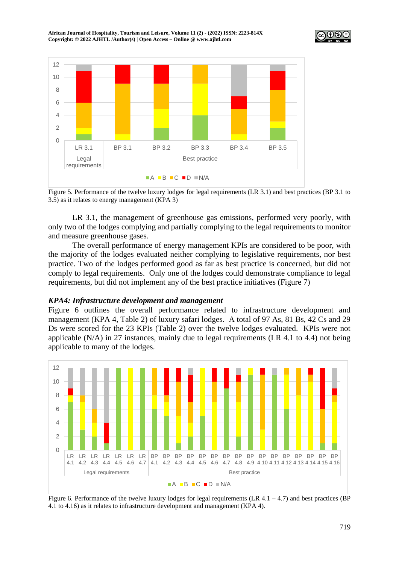**African Journal of Hospitality, Tourism and Leisure, Volume 11 (2) - (2022) ISSN: 2223-814X Copyright: © 2022 AJHTL /Author(s) | Open Access – Online [@ www.ajhtl.com](http://www.ajhtl.com/)** 





Figure 5. Performance of the twelve luxury lodges for legal requirements (LR 3.1) and best practices (BP 3.1 to 3.5) as it relates to energy management (KPA 3)

LR 3.1, the management of greenhouse gas emissions, performed very poorly, with only two of the lodges complying and partially complying to the legal requirements to monitor and measure greenhouse gases.

The overall performance of energy management KPIs are considered to be poor, with the majority of the lodges evaluated neither complying to legislative requirements, nor best practice. Two of the lodges performed good as far as best practice is concerned, but did not comply to legal requirements. Only one of the lodges could demonstrate compliance to legal requirements, but did not implement any of the best practice initiatives (Figure 7)

#### *KPA4: Infrastructure development and management*

Figure 6 outlines the overall performance related to infrastructure development and management (KPA 4, Table 2) of luxury safari lodges. A total of 97 As, 81 Bs, 42 Cs and 29 Ds were scored for the 23 KPIs (Table 2) over the twelve lodges evaluated. KPIs were not applicable (N/A) in 27 instances, mainly due to legal requirements (LR 4.1 to 4.4) not being applicable to many of the lodges.



Figure 6. Performance of the twelve luxury lodges for legal requirements (LR  $4.1 - 4.7$ ) and best practices (BP) 4.1 to 4.16) as it relates to infrastructure development and management (KPA 4).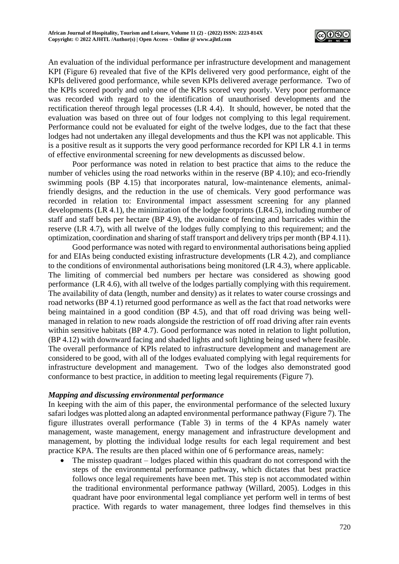

An evaluation of the individual performance per infrastructure development and management KPI (Figure 6) revealed that five of the KPIs delivered very good performance, eight of the KPIs delivered good performance, while seven KPIs delivered average performance. Two of the KPIs scored poorly and only one of the KPIs scored very poorly. Very poor performance was recorded with regard to the identification of unauthorised developments and the rectification thereof through legal processes (LR 4.4). It should, however, be noted that the evaluation was based on three out of four lodges not complying to this legal requirement. Performance could not be evaluated for eight of the twelve lodges, due to the fact that these lodges had not undertaken any illegal developments and thus the KPI was not applicable. This is a positive result as it supports the very good performance recorded for KPI LR 4.1 in terms of effective environmental screening for new developments as discussed below.

Poor performance was noted in relation to best practice that aims to the reduce the number of vehicles using the road networks within in the reserve (BP 4.10); and eco-friendly swimming pools (BP 4.15) that incorporates natural, low-maintenance elements, animalfriendly designs, and the reduction in the use of chemicals. Very good performance was recorded in relation to: Environmental impact assessment screening for any planned developments (LR 4.1), the minimization of the lodge footprints (LR4.5), including number of staff and staff beds per hectare (BP 4.9), the avoidance of fencing and barricades within the reserve (LR 4.7), with all twelve of the lodges fully complying to this requirement; and the optimization, coordination and sharing of staff transport and delivery trips per month (BP 4.11).

Good performance was noted with regard to environmental authorisations being applied for and EIAs being conducted existing infrastructure developments (LR 4.2), and compliance to the conditions of environmental authorisations being monitored (LR 4.3), where applicable. The limiting of commercial bed numbers per hectare was considered as showing good performance (LR 4.6), with all twelve of the lodges partially complying with this requirement. The availability of data (length, number and density) as it relates to water course crossings and road networks (BP 4.1) returned good performance as well as the fact that road networks were being maintained in a good condition (BP 4.5), and that off road driving was being wellmanaged in relation to new roads alongside the restriction of off road driving after rain events within sensitive habitats (BP 4.7). Good performance was noted in relation to light pollution, (BP 4.12) with downward facing and shaded lights and soft lighting being used where feasible. The overall performance of KPIs related to infrastructure development and management are considered to be good, with all of the lodges evaluated complying with legal requirements for infrastructure development and management. Two of the lodges also demonstrated good conformance to best practice, in addition to meeting legal requirements (Figure 7).

## *Mapping and discussing environmental performance*

In keeping with the aim of this paper, the environmental performance of the selected luxury safari lodges was plotted along an adapted environmental performance pathway (Figure 7). The figure illustrates overall performance (Table 3) in terms of the 4 KPAs namely water management, waste management, energy management and infrastructure development and management, by plotting the individual lodge results for each legal requirement and best practice KPA. The results are then placed within one of 6 performance areas, namely:

• The misstep quadrant – lodges placed within this quadrant do not correspond with the steps of the environmental performance pathway, which dictates that best practice follows once legal requirements have been met. This step is not accommodated within the traditional environmental performance pathway (Willard, 2005). Lodges in this quadrant have poor environmental legal compliance yet perform well in terms of best practice. With regards to water management, three lodges find themselves in this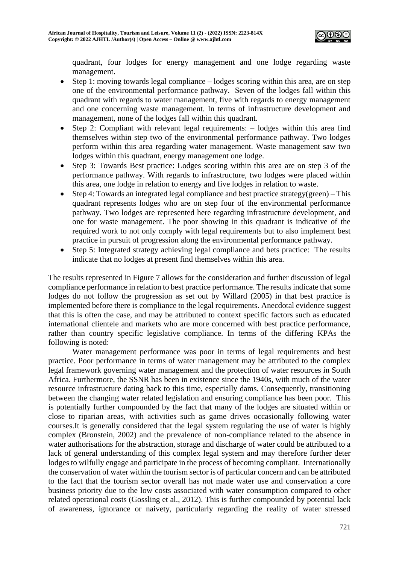

quadrant, four lodges for energy management and one lodge regarding waste management.

- Step 1: moving towards legal compliance lodges scoring within this area, are on step one of the environmental performance pathway. Seven of the lodges fall within this quadrant with regards to water management, five with regards to energy management and one concerning waste management. In terms of infrastructure development and management, none of the lodges fall within this quadrant.
- Step 2: Compliant with relevant legal requirements: lodges within this area find themselves within step two of the environmental performance pathway. Two lodges perform within this area regarding water management. Waste management saw two lodges within this quadrant, energy management one lodge.
- Step 3: Towards Best practice: Lodges scoring within this area are on step 3 of the performance pathway. With regards to infrastructure, two lodges were placed within this area, one lodge in relation to energy and five lodges in relation to waste.
- Step 4: Towards an integrated legal compliance and best practice strategy(green) This quadrant represents lodges who are on step four of the environmental performance pathway. Two lodges are represented here regarding infrastructure development, and one for waste management. The poor showing in this quadrant is indicative of the required work to not only comply with legal requirements but to also implement best practice in pursuit of progression along the environmental performance pathway.
- Step 5: Integrated strategy achieving legal compliance and bets practice: The results indicate that no lodges at present find themselves within this area.

The results represented in Figure 7 allows for the consideration and further discussion of legal compliance performance in relation to best practice performance. The results indicate that some lodges do not follow the progression as set out by Willard (2005) in that best practice is implemented before there is compliance to the legal requirements. Anecdotal evidence suggest that this is often the case, and may be attributed to context specific factors such as educated international clientele and markets who are more concerned with best practice performance, rather than country specific legislative compliance. In terms of the differing KPAs the following is noted:

Water management performance was poor in terms of legal requirements and best practice. Poor performance in terms of water management may be attributed to the complex legal framework governing water management and the protection of water resources in South Africa. Furthermore, the SSNR has been in existence since the 1940s, with much of the water resource infrastructure dating back to this time, especially dams. Consequently, transitioning between the changing water related legislation and ensuring compliance has been poor. This is potentially further compounded by the fact that many of the lodges are situated within or close to riparian areas, with activities such as game drives occasionally following water courses.It is generally considered that the legal system regulating the use of water is highly complex (Bronstein, 2002) and the prevalence of non-compliance related to the absence in water authorisations for the abstraction, storage and discharge of water could be attributed to a lack of general understanding of this complex legal system and may therefore further deter lodges to wilfully engage and participate in the process of becoming compliant. Internationally the conservation of water within the tourism sector is of particular concern and can be attributed to the fact that the tourism sector overall has not made water use and conservation a core business priority due to the low costs associated with water consumption compared to other related operational costs (Gossling et al., 2012). This is further compounded by potential lack of awareness, ignorance or naivety, particularly regarding the reality of water stressed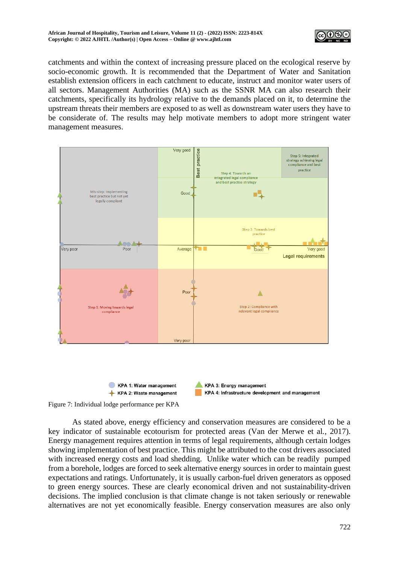

catchments and within the context of increasing pressure placed on the ecological reserve by socio-economic growth. It is recommended that the Department of Water and Sanitation establish extension officers in each catchment to educate, instruct and monitor water users of all sectors. Management Authorities (MA) such as the SSNR MA can also research their catchments, specifically its hydrology relative to the demands placed on it, to determine the upstream threats their members are exposed to as well as downstream water users they have to be considerate of. The results may help motivate members to adopt more stringent water management measures.



Figure 7: Individual lodge performance per KPA

As stated above, energy efficiency and conservation measures are considered to be a key indicator of sustainable ecotourism for protected areas (Van der Merwe et al*.*, 2017). Energy management requires attention in terms of legal requirements, although certain lodges showing implementation of best practice. This might be attributed to the cost drivers associated with increased energy costs and load shedding. Unlike water which can be readily pumped from a borehole, lodges are forced to seek alternative energy sources in order to maintain guest expectations and ratings. Unfortunately, it is usually carbon-fuel driven generators as opposed to green energy sources. These are clearly economical driven and not sustainability-driven decisions. The implied conclusion is that climate change is not taken seriously or renewable alternatives are not yet economically feasible. Energy conservation measures are also only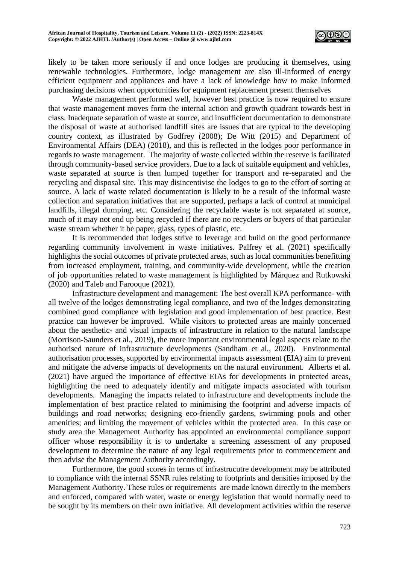

likely to be taken more seriously if and once lodges are producing it themselves, using renewable technologies. Furthermore, lodge management are also ill-informed of energy efficient equipment and appliances and have a lack of knowledge how to make informed purchasing decisions when opportunities for equipment replacement present themselves

Waste management performed well, however best practice is now required to ensure that waste management moves form the internal action and growth quadrant towards best in class. Inadequate separation of waste at source, and insufficient documentation to demonstrate the disposal of waste at authorised landfill sites are issues that are typical to the developing country context, as illustrated by Godfrey (2008); De Witt (2015) and Department of Environmental Affairs (DEA) (2018), and this is reflected in the lodges poor performance in regards to waste management. The majority of waste collected within the reserve is facilitated through community-based service providers. Due to a lack of suitable equipment and vehicles, waste separated at source is then lumped together for transport and re-separated and the recycling and disposal site. This may disincentivise the lodges to go to the effort of sorting at source. A lack of waste related documentation is likely to be a result of the informal waste collection and separation initiatives that are supported, perhaps a lack of control at municipal landfills, illegal dumping, etc. Considering the recyclable waste is not separated at source, much of it may not end up being recycled if there are no recyclers or buyers of that particular waste stream whether it be paper, glass, types of plastic, etc.

It is recommended that lodges strive to leverage and build on the good performance regarding community involvement in waste initiatives. Palfrey et al. (2021) specifically highlights the social outcomes of private protected areas, such as local communities benefitting from increased employment, training, and community-wide development, while the creation of job opportunities related to waste management is highlighted by Márquez and Rutkowski (2020) and Taleb and Farooque (2021).

Infrastructure development and management: The best overall KPA performance- with all twelve of the lodges demonstrating legal compliance, and two of the lodges demonstrating combined good compliance with legislation and good implementation of best practice. Best practice can however be improved. While visitors to protected areas are mainly concerned about the aesthetic- and visual impacts of infrastructure in relation to the natural landscape (Morrison-Saunders et al., 2019), the more important environmental legal aspects relate to the authorised nature of infrastructure developments (Sandham et al*.*, 2020). Environmental authorisation processes, supported by environmental impacts assessment (EIA) aim to prevent and mitigate the adverse impacts of developments on the natural environment. Alberts et al*.* (2021) have argued the importance of effective EIAs for developments in protected areas, highlighting the need to adequately identify and mitigate impacts associated with tourism developments. Managing the impacts related to infrastructure and developments include the implementation of best practice related to minimising the footprint and adverse impacts of buildings and road networks; designing eco-friendly gardens, swimming pools and other amenities; and limiting the movement of vehicles within the protected area. In this case or study area the Management Authority has appointed an environmental compliance support officer whose responsibility it is to undertake a screening assessment of any proposed development to determine the nature of any legal requirements prior to commencement and then advise the Management Authority accordingly.

Furthermore, the good scores in terms of infrastrucutre development may be attributed to compliance with the internal SSNR rules relating to footprints and densities imposed by the Management Authority. These rules or requirements are made known directly to the members and enforced, compared with water, waste or energy legislation that would normally need to be sought by its members on their own initiative. All development activities within the reserve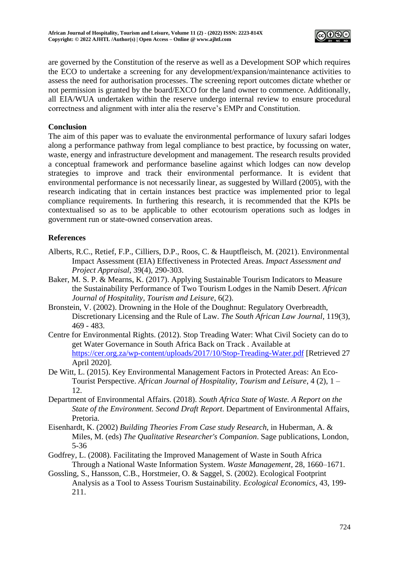

are governed by the Constitution of the reserve as well as a Development SOP which requires the ECO to undertake a screening for any development/expansion/maintenance activities to assess the need for authorisation processes. The screening report outcomes dictate whether or not permission is granted by the board/EXCO for the land owner to commence. Additionally, all EIA/WUA undertaken within the reserve undergo internal review to ensure procedural correctness and alignment with inter alia the reserve's EMPr and Constitution.

## **Conclusion**

The aim of this paper was to evaluate the environmental performance of luxury safari lodges along a performance pathway from legal compliance to best practice, by focussing on water, waste, energy and infrastructure development and management. The research results provided a conceptual framework and performance baseline against which lodges can now develop strategies to improve and track their environmental performance. It is evident that environmental performance is not necessarily linear, as suggested by Willard (2005), with the research indicating that in certain instances best practice was implemented prior to legal compliance requirements. In furthering this research, it is recommended that the KPIs be contextualised so as to be applicable to other ecotourism operations such as lodges in government run or state-owned conservation areas.

# **References**

- Alberts, R.C., Retief, F.P., Cilliers, D.P., Roos, C. & Hauptfleisch, M. (2021). Environmental Impact Assessment (EIA) Effectiveness in Protected Areas. *Impact Assessment and Project Appraisal*, 39(4), 290-303.
- Baker, M. S. P. & Mearns, K. (2017). Applying Sustainable Tourism Indicators to Measure the Sustainability Performance of Two Tourism Lodges in the Namib Desert. *African Journal of Hospitality, Tourism and Leisure*, 6(2).
- Bronstein, V. (2002). Drowning in the Hole of the Doughnut: Regulatory Overbreadth, Discretionary Licensing and the Rule of Law. *The South African Law Journal*, 119(3), 469 - 483.
- Centre for Environmental Rights. (2012). Stop Treading Water: What Civil Society can do to get Water Governance in South Africa Back on Track . Available at <https://cer.org.za/wp-content/uploads/2017/10/Stop-Treading-Water.pdf> [Retrieved 27 April 2020].
- De Witt, L. (2015). Key Environmental Management Factors in Protected Areas: An Eco-Tourist Perspective. *African Journal of Hospitality, Tourism and Leisure*, 4 (2), 1 – 12.
- Department of Environmental Affairs. (2018). *South Africa State of Waste. A Report on the State of the Environment. Second Draft Report*. Department of Environmental Affairs, Pretoria.
- Eisenhardt, K. (2002) *Building Theories From Case study Research*, in Huberman, A. & Miles, M. (eds) *The Qualitative Researcher's Companion*. Sage publications, London, 5-36
- Godfrey, L. (2008). Facilitating the Improved Management of Waste in South Africa Through a National Waste Information System. *Waste Management*, 28, 1660–1671.
- Gossling, S., Hansson, C.B., Horstmeier, O. & Saggel, S. (2002). Ecological Footprint Analysis as a Tool to Assess Tourism Sustainability*. Ecological Economics*, 43, 199- 211.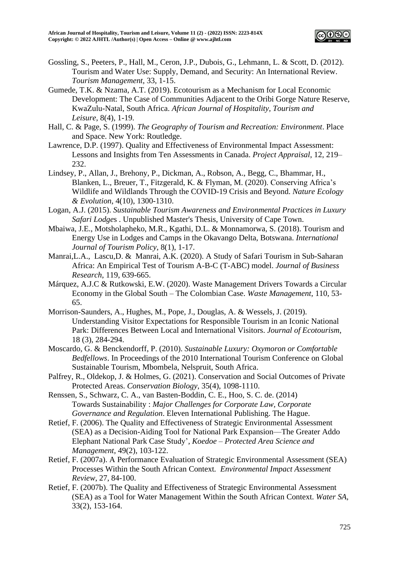

- Gossling, S., Peeters, P., Hall, M., Ceron, J.P., Dubois, G., Lehmann, L. & Scott, D. (2012). Tourism and Water Use: Supply, Demand, and Security: An International Review. *Tourism Management*, 33, 1-15.
- Gumede, T.K. & Nzama, A.T. (2019). Ecotourism as a Mechanism for Local Economic Development: The Case of Communities Adjacent to the Oribi Gorge Nature Reserve, KwaZulu-Natal, South Africa. *African Journal of Hospitality, Tourism and Leisure*, 8(4), 1-19.
- Hall, C. & Page, S. (1999). *The Geography of Tourism and Recreation: Environment*. Place and Space. New York: Routledge.
- Lawrence, D.P. (1997). Quality and Effectiveness of Environmental Impact Assessment: Lessons and Insights from Ten Assessments in Canada. *Project Appraisal*, 12, 219– 232.
- Lindsey, P., Allan, J., Brehony, P., Dickman, A., Robson, A., Begg, C., Bhammar, H., Blanken, L., Breuer, T., Fitzgerald, K. & Flyman, M. (2020). Conserving Africa's Wildlife and Wildlands Through the COVID-19 Crisis and Beyond. *Nature Ecology & Evolution*, 4(10), 1300-1310.
- Logan, A.J. (2015). *Sustainable Tourism Awareness and Environmental Practices in Luxury Safari Lodge*s . Unpublished Master's Thesis, University of Cape Town.
- Mbaiwa, J.E., Motsholapheko, M.R., Kgathi, D.L. & Monnamorwa, S. (2018). Tourism and Energy Use in Lodges and Camps in the Okavango Delta, Botswana. *International Journal of Tourism Policy*, 8(1), 1-17.
- Manrai,L.A., Lascu,D. & Manrai, A.K. (2020). A Study of Safari Tourism in Sub-Saharan Africa: An Empirical Test of Tourism A-B-C (T-ABC) model. *Journal of Business Research*, 119, 639-665.
- Márquez, A.J.C & Rutkowski, E.W. (2020). Waste Management Drivers Towards a Circular Economy in the Global South – The Colombian Case. *Waste Management*, 110, 53- 65.
- Morrison-Saunders, A., Hughes, M., Pope, J., Douglas, A. & Wessels, J. (2019). Understanding Visitor Expectations for Responsible Tourism in an Iconic National Park: Differences Between Local and International Visitors. *Journal of Ecotourism*, 18 (3), 284-294.
- Moscardo, G. & Benckendorff, P. (2010). *Sustainable Luxury: Oxymoron or Comfortable Bedfellows*. In Proceedings of the 2010 International Tourism Conference on Global Sustainable Tourism, Mbombela, Nelspruit, South Africa.
- Palfrey, R., Oldekop, J. & Holmes, G. (2021). Conservation and Social Outcomes of Private Protected Areas. *Conservation Biology*, 35(4), 1098-1110.
- Renssen, S., Schwarz, C. A., van Basten-Boddin, C. E., Hoo, S. C. de. (2014) Towards Sustainability : *Major Challenges for Corporate Law, Corporate Governance and Regulation*. Eleven International Publishing. The Hague.
- Retief, F. (2006). The Quality and Effectiveness of Strategic Environmental Assessment (SEA) as a Decision-Aiding Tool for National Park Expansion—The Greater Addo Elephant National Park Case Study'*, Koedoe – Protected Area Science and Management*, 49(2), 103-122.
- Retief, F. (2007a). A Performance Evaluation of Strategic Environmental Assessment (SEA) Processes Within the South African Context*. Environmental Impact Assessment Review*, 27, 84-100.
- Retief, F. (2007b). The Quality and Effectiveness of Strategic Environmental Assessment (SEA) as a Tool for Water Management Within the South African Context. *Water SA*, 33(2), 153-164.